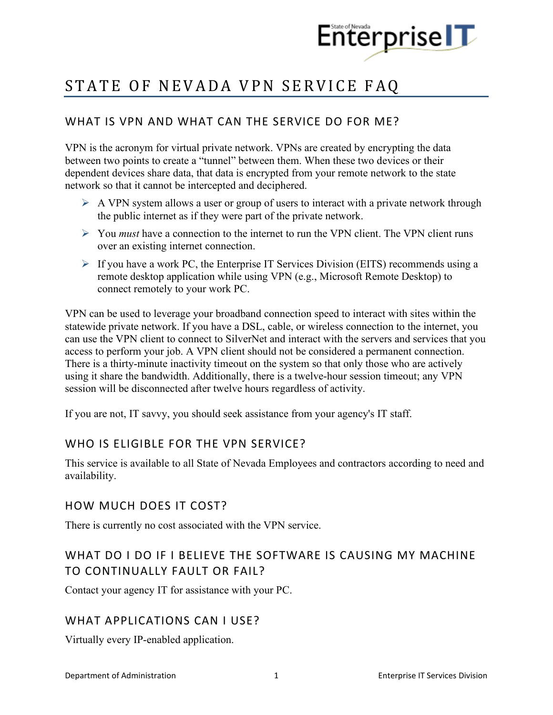

# STATE OF NEVADA VPN SERVICE FAQ

# WHAT IS VPN AND WHAT CAN THE SERVICE DO FOR ME?

VPN is the acronym for virtual private network. VPNs are created by encrypting the data between two points to create a "tunnel" between them. When these two devices or their dependent devices share data, that data is encrypted from your remote network to the state network so that it cannot be intercepted and deciphered.

- $\triangleright$  A VPN system allows a user or group of users to interact with a private network through the public internet as if they were part of the private network.
- You *must* have a connection to the internet to run the VPN client. The VPN client runs over an existing internet connection.
- $\triangleright$  If you have a work PC, the Enterprise IT Services Division (EITS) recommends using a remote desktop application while using VPN (e.g., Microsoft Remote Desktop) to connect remotely to your work PC.

VPN can be used to leverage your broadband connection speed to interact with sites within the statewide private network. If you have a DSL, cable, or wireless connection to the internet, you can use the VPN client to connect to SilverNet and interact with the servers and services that you access to perform your job. A VPN client should not be considered a permanent connection. There is a thirty-minute inactivity timeout on the system so that only those who are actively using it share the bandwidth. Additionally, there is a twelve-hour session timeout; any VPN session will be disconnected after twelve hours regardless of activity.

If you are not, IT savvy, you should seek assistance from your agency's IT staff.

#### WHO IS ELIGIBLE FOR THE VPN SERVICE?

This service is available to all State of Nevada Employees and contractors according to need and availability.

#### HOW MUCH DOES IT COST?

There is currently no cost associated with the VPN service.

# WHAT DO I DO IF I BELIEVE THE SOFTWARE IS CAUSING MY MACHINE TO CONTINUALLY FAULT OR FAIL?

Contact your agency IT for assistance with your PC.

#### WHAT APPLICATIONS CAN I USE?

Virtually every IP-enabled application.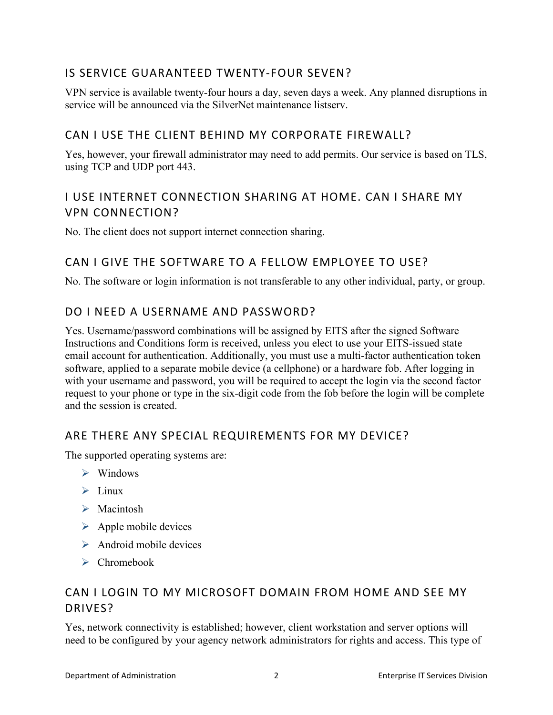# IS SERVICE GUARANTEED TWENTY-FOUR SEVEN?

VPN service is available twenty-four hours a day, seven days a week. Any planned disruptions in service will be announced via the SilverNet maintenance listserv.

#### CAN I USE THE CLIENT BEHIND MY CORPORATE FIREWALL?

Yes, however, your firewall administrator may need to add permits. Our service is based on TLS, using TCP and UDP port 443.

# I USE INTERNET CONNECTION SHARING AT HOME. CAN I SHARE MY VPN CONNECTION?

No. The client does not support internet connection sharing.

## CAN I GIVE THE SOFTWARE TO A FELLOW EMPLOYEE TO USE?

No. The software or login information is not transferable to any other individual, party, or group.

## DO I NEED A USERNAME AND PASSWORD?

Yes. Username/password combinations will be assigned by EITS after the signed Software Instructions and Conditions form is received, unless you elect to use your EITS-issued state email account for authentication. Additionally, you must use a multi-factor authentication token software, applied to a separate mobile device (a cellphone) or a hardware fob. After logging in with your username and password, you will be required to accept the login via the second factor request to your phone or type in the six-digit code from the fob before the login will be complete and the session is created.

## ARE THERE ANY SPECIAL REQUIREMENTS FOR MY DEVICE?

The supported operating systems are:

- $\triangleright$  Windows
- $\blacktriangleright$  Linux
- > Macintosh
- $\triangleright$  Apple mobile devices
- $\triangleright$  Android mobile devices
- Chromebook

#### CAN I LOGIN TO MY MICROSOFT DOMAIN FROM HOME AND SEE MY DRIVES?

Yes, network connectivity is established; however, client workstation and server options will need to be configured by your agency network administrators for rights and access. This type of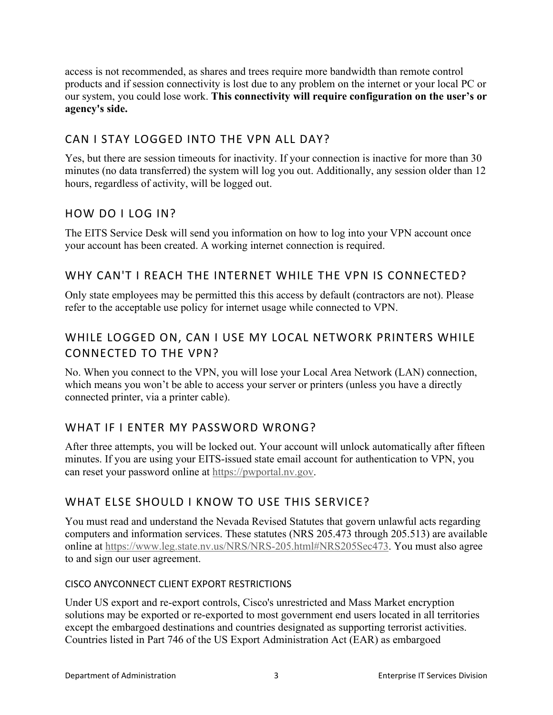access is not recommended, as shares and trees require more bandwidth than remote control products and if session connectivity is lost due to any problem on the internet or your local PC or our system, you could lose work. **This connectivity will require configuration on the user's or agency's side.**

## CAN I STAY LOGGED INTO THE VPN ALL DAY?

Yes, but there are session timeouts for inactivity. If your connection is inactive for more than 30 minutes (no data transferred) the system will log you out. Additionally, any session older than 12 hours, regardless of activity, will be logged out.

#### HOW DO I LOG IN?

The EITS Service Desk will send you information on how to log into your VPN account once your account has been created. A working internet connection is required.

#### WHY CAN'T I REACH THE INTERNET WHILE THE VPN IS CONNECTED?

Only state employees may be permitted this this access by default (contractors are not). Please refer to the acceptable use policy for internet usage while connected to VPN.

# WHILE LOGGED ON, CAN I USE MY LOCAL NETWORK PRINTERS WHILE CONNECTED TO THE VPN?

No. When you connect to the VPN, you will lose your Local Area Network (LAN) connection, which means you won't be able to access your server or printers (unless you have a directly connected printer, via a printer cable).

## WHAT IF I ENTER MY PASSWORD WRONG?

After three attempts, you will be locked out. Your account will unlock automatically after fifteen minutes. If you are using your EITS-issued state email account for authentication to VPN, you can reset your password online at [https://pwportal.nv.gov.](https://pwportal.nv.gov/)

## WHAT ELSE SHOULD I KNOW TO USE THIS SERVICE?

You must read and understand the Nevada Revised Statutes that govern unlawful acts regarding computers and information services. These statutes (NRS 205.473 through 205.513) are available online at [https://www.leg.state.nv.us/NRS/NRS-205.html#NRS205Sec473.](https://www.leg.state.nv.us/NRS/NRS-205.html#NRS205Sec473) You must also agree to and sign our user agreement.

#### CISCO ANYCONNECT CLIENT EXPORT RESTRICTIONS

Under US export and re-export controls, Cisco's unrestricted and Mass Market encryption solutions may be exported or re-exported to most government end users located in all territories except the embargoed destinations and countries designated as supporting terrorist activities. Countries listed in Part 746 of the US Export Administration Act (EAR) as embargoed